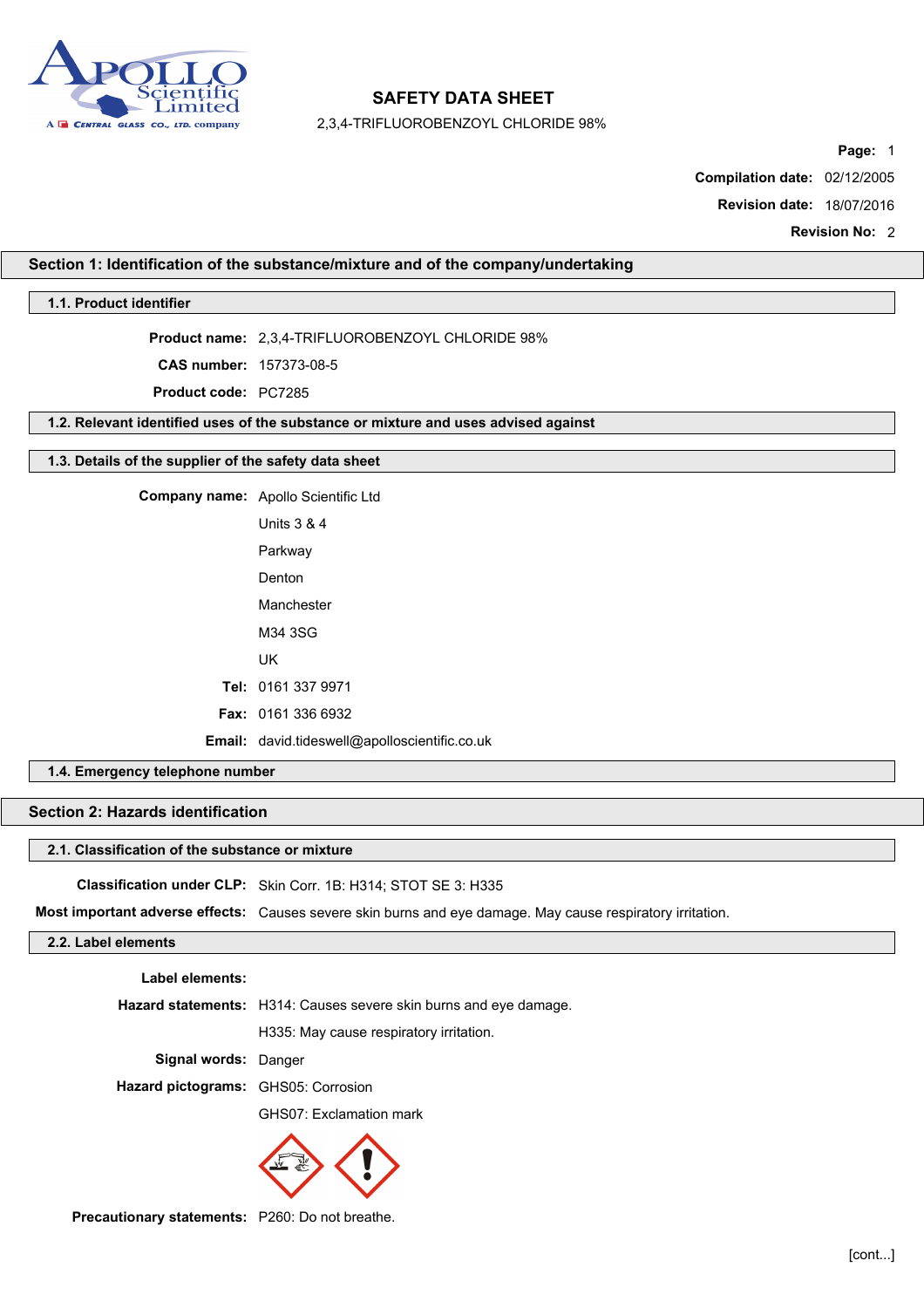

2,3,4-TRIFLUOROBENZOYL CHLORIDE 98%

Page: 1

Compilation date: 02/12/2005

Revision date: 18/07/2016

Revision No: 2

### Section 1: Identification of the substance/mixture and of the company/undertaking

### 1.1. Product identifier

Product name: 2,3,4-TRIFLUOROBENZOYL CHLORIDE 98%

CAS number: 157373-08-5

Product code: PC7285

1.2. Relevant identified uses of the substance or mixture and uses advised against

### 1.3. Details of the supplier of the safety data sheet

Company name: Apollo Scientific Ltd Units 3 & 4 Parkway Denton Manchester M34 3SG UK Tel: 0161 337 9971 Fax: 0161 336 6932 Email: david.tideswell@apolloscientific.co.uk

## 1.4. Emergency telephone number

# Section 2: Hazards identification

#### 2.1. Classification of the substance or mixture

Classification under CLP: Skin Corr. 1B: H314; STOT SE 3: H335

Most important adverse effects: Causes severe skin burns and eye damage. May cause respiratory irritation.

## 2.2. Label elements

Label elements:

Hazard statements: H314: Causes severe skin burns and eye damage.

H335: May cause respiratory irritation.

Signal words: Danger

Hazard pictograms: GHS05: Corrosion

GHS07: Exclamation mark



Precautionary statements: P260: Do not breathe.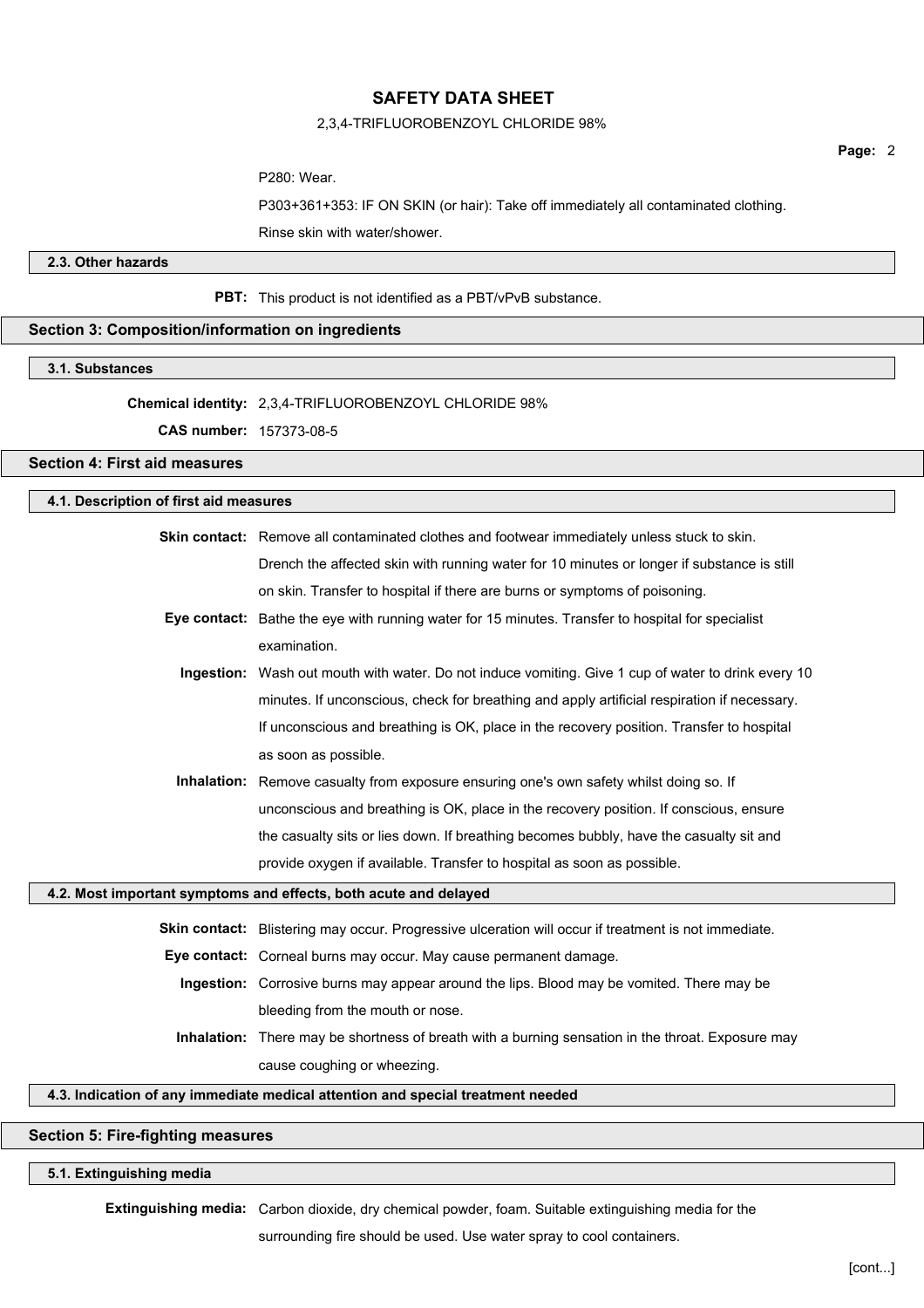### 2,3,4-TRIFLUOROBENZOYL CHLORIDE 98%

Page: 2

P280: Wear.

P303+361+353: IF ON SKIN (or hair): Take off immediately all contaminated clothing. Rinse skin with water/shower.

## 2.3. Other hazards

PBT: This product is not identified as a PBT/vPvB substance.

## Section 3: Composition/information on ingredients

### 3.1. Substances

### Chemical identity: 2,3,4-TRIFLUOROBENZOYL CHLORIDE 98%

CAS number: 157373-08-5

### Section 4: First aid measures

| 4.1. Description of first aid measures                                          |                                                                                                          |  |
|---------------------------------------------------------------------------------|----------------------------------------------------------------------------------------------------------|--|
|                                                                                 | Skin contact: Remove all contaminated clothes and footwear immediately unless stuck to skin.             |  |
|                                                                                 | Drench the affected skin with running water for 10 minutes or longer if substance is still               |  |
|                                                                                 | on skin. Transfer to hospital if there are burns or symptoms of poisoning.                               |  |
|                                                                                 | Eye contact: Bathe the eye with running water for 15 minutes. Transfer to hospital for specialist        |  |
|                                                                                 | examination.                                                                                             |  |
|                                                                                 | Ingestion: Wash out mouth with water. Do not induce vomiting. Give 1 cup of water to drink every 10      |  |
|                                                                                 | minutes. If unconscious, check for breathing and apply artificial respiration if necessary.              |  |
|                                                                                 | If unconscious and breathing is OK, place in the recovery position. Transfer to hospital                 |  |
|                                                                                 | as soon as possible.                                                                                     |  |
|                                                                                 | Inhalation: Remove casualty from exposure ensuring one's own safety whilst doing so. If                  |  |
|                                                                                 | unconscious and breathing is OK, place in the recovery position. If conscious, ensure                    |  |
|                                                                                 | the casualty sits or lies down. If breathing becomes bubbly, have the casualty sit and                   |  |
|                                                                                 | provide oxygen if available. Transfer to hospital as soon as possible.                                   |  |
|                                                                                 | 4.2. Most important symptoms and effects, both acute and delayed                                         |  |
|                                                                                 | Skin contact: Blistering may occur. Progressive ulceration will occur if treatment is not immediate.     |  |
|                                                                                 | Eye contact: Corneal burns may occur. May cause permanent damage.                                        |  |
|                                                                                 | Ingestion: Corrosive burns may appear around the lips. Blood may be vomited. There may be                |  |
|                                                                                 | bleeding from the mouth or nose.                                                                         |  |
|                                                                                 | <b>Inhalation:</b> There may be shortness of breath with a burning sensation in the throat. Exposure may |  |
|                                                                                 | cause coughing or wheezing.                                                                              |  |
| 4.3. Indication of any immediate medical attention and special treatment needed |                                                                                                          |  |

## Section 5: Fire-fighting measures

### 5.1. Extinguishing media

Extinguishing media: Carbon dioxide, dry chemical powder, foam. Suitable extinguishing media for the

surrounding fire should be used. Use water spray to cool containers.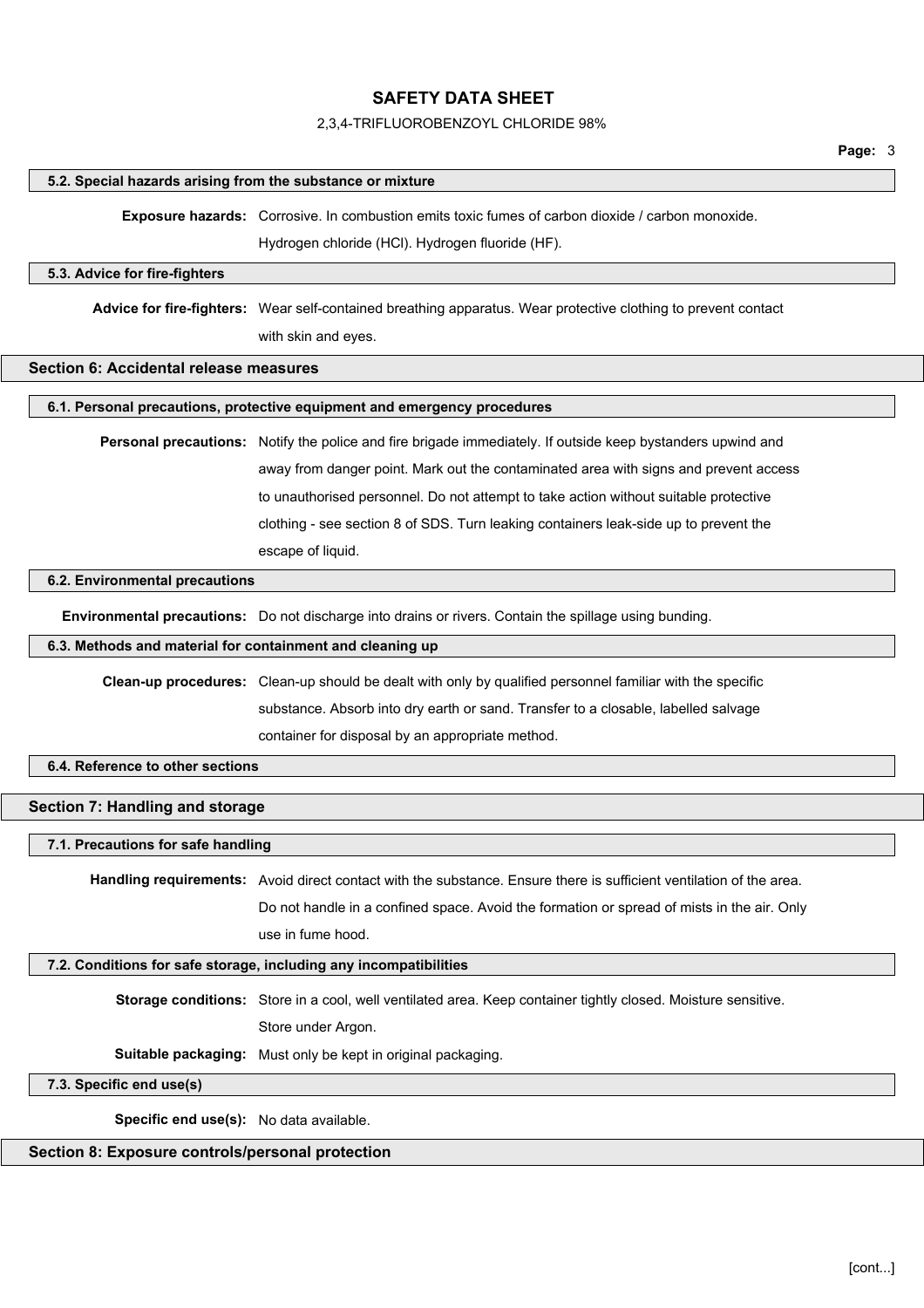#### 2,3,4-TRIFLUOROBENZOYL CHLORIDE 98%

#### 5.2. Special hazards arising from the substance or mixture

Exposure hazards: Corrosive. In combustion emits toxic fumes of carbon dioxide / carbon monoxide.

Hydrogen chloride (HCl). Hydrogen fluoride (HF).

#### 5.3. Advice for fire-fighters

Advice for fire-fighters: Wear self-contained breathing apparatus. Wear protective clothing to prevent contact with skin and eyes.

#### Section 6: Accidental release measures

#### 6.1. Personal precautions, protective equipment and emergency procedures

Personal precautions: Notify the police and fire brigade immediately. If outside keep bystanders upwind and away from danger point. Mark out the contaminated area with signs and prevent access to unauthorised personnel. Do not attempt to take action without suitable protective clothing - see section 8 of SDS. Turn leaking containers leak-side up to prevent the escape of liquid.

#### 6.2. Environmental precautions

Environmental precautions: Do not discharge into drains or rivers. Contain the spillage using bunding.

## 6.3. Methods and material for containment and cleaning up

Clean-up procedures: Clean-up should be dealt with only by qualified personnel familiar with the specific substance. Absorb into dry earth or sand. Transfer to a closable, labelled salvage container for disposal by an appropriate method.

#### 6.4. Reference to other sections

### Section 7: Handling and storage

#### 7.1. Precautions for safe handling

Handling requirements: Avoid direct contact with the substance. Ensure there is sufficient ventilation of the area. Do not handle in a confined space. Avoid the formation or spread of mists in the air. Only use in fume hood.

#### 7.2. Conditions for safe storage, including any incompatibilities

Storage conditions: Store in a cool, well ventilated area. Keep container tightly closed. Moisture sensitive. Store under Argon.

Suitable packaging: Must only be kept in original packaging.

#### 7.3. Specific end use(s)

Specific end use(s): No data available.

## Section 8: Exposure controls/personal protection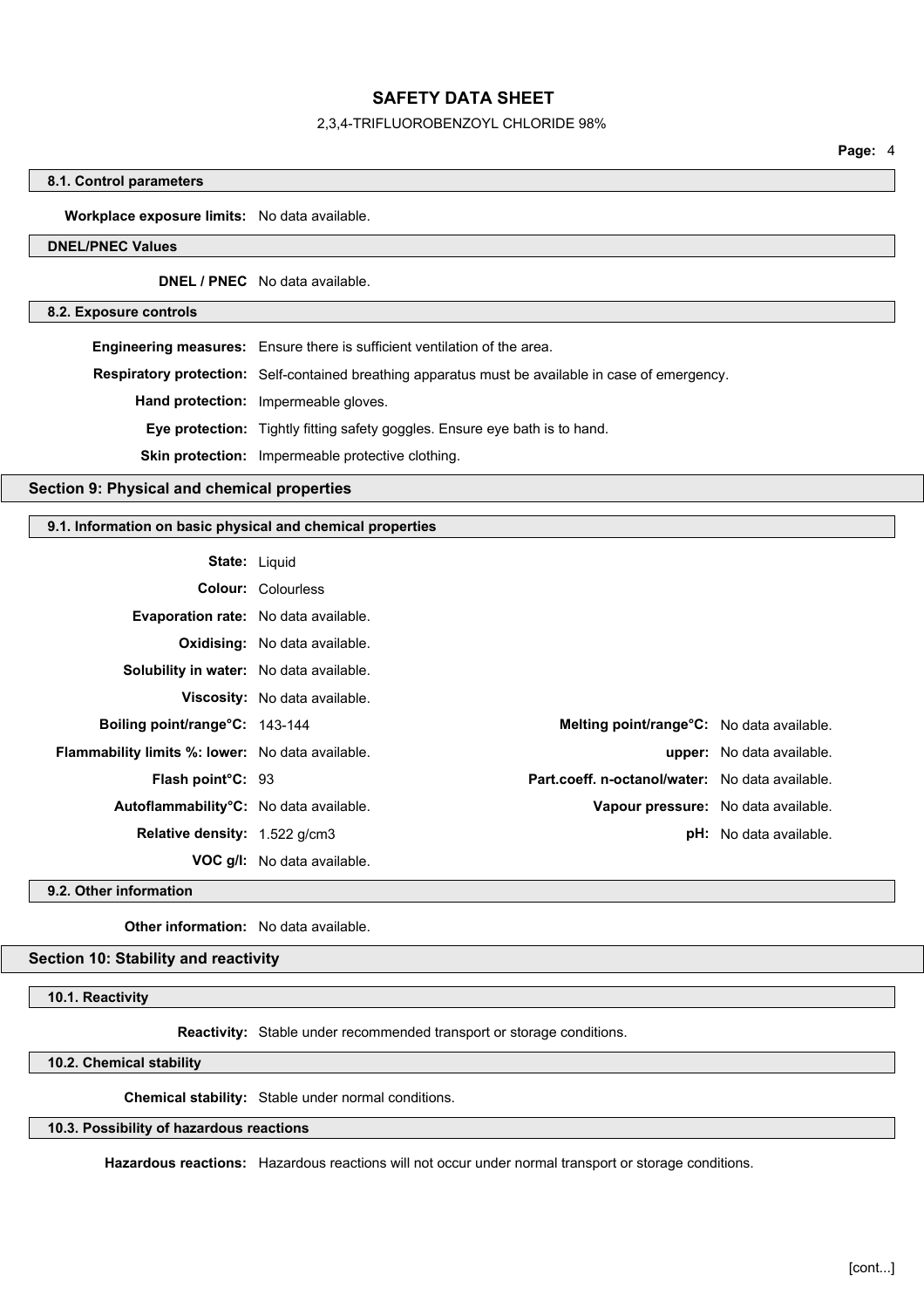### 2,3,4-TRIFLUOROBENZOYL CHLORIDE 98%

#### 8.1. Control parameters

Workplace exposure limits: No data available.

## DNEL/PNEC Values

DNEL / PNEC No data available.

#### 8.2. Exposure controls

Engineering measures: Ensure there is sufficient ventilation of the area. Respiratory protection: Self-contained breathing apparatus must be available in case of emergency. Hand protection: Impermeable gloves. Eye protection: Tightly fitting safety goggles. Ensure eye bath is to hand. Skin protection: Impermeable protective clothing.

Section 9: Physical and chemical properties

### 9.1. Information on basic physical and chemical properties

| <b>State: Liquid</b>                                    |                                      |                                                   |                                  |
|---------------------------------------------------------|--------------------------------------|---------------------------------------------------|----------------------------------|
|                                                         | <b>Colour: Colourless</b>            |                                                   |                                  |
| <b>Evaporation rate:</b> No data available.             |                                      |                                                   |                                  |
|                                                         | <b>Oxidising:</b> No data available. |                                                   |                                  |
| Solubility in water: No data available.                 |                                      |                                                   |                                  |
|                                                         | Viscosity: No data available.        |                                                   |                                  |
| Boiling point/range°C: 143-144                          |                                      | <b>Melting point/range °C:</b> No data available. |                                  |
| <b>Flammability limits %: lower:</b> No data available. |                                      |                                                   | <b>upper:</b> No data available. |
| <b>Flash point C: 93</b>                                |                                      | Part.coeff. n-octanol/water: No data available.   |                                  |
| Autoflammability°C: No data available.                  |                                      | Vapour pressure: No data available.               |                                  |
| Relative density: 1.522 g/cm3                           |                                      |                                                   | <b>pH:</b> No data available.    |
|                                                         | <b>VOC g/l:</b> No data available.   |                                                   |                                  |

9.2. Other information

Other information: No data available.

### Section 10: Stability and reactivity

10.1. Reactivity

Reactivity: Stable under recommended transport or storage conditions.

10.2. Chemical stability

Chemical stability: Stable under normal conditions.

### 10.3. Possibility of hazardous reactions

Hazardous reactions: Hazardous reactions will not occur under normal transport or storage conditions.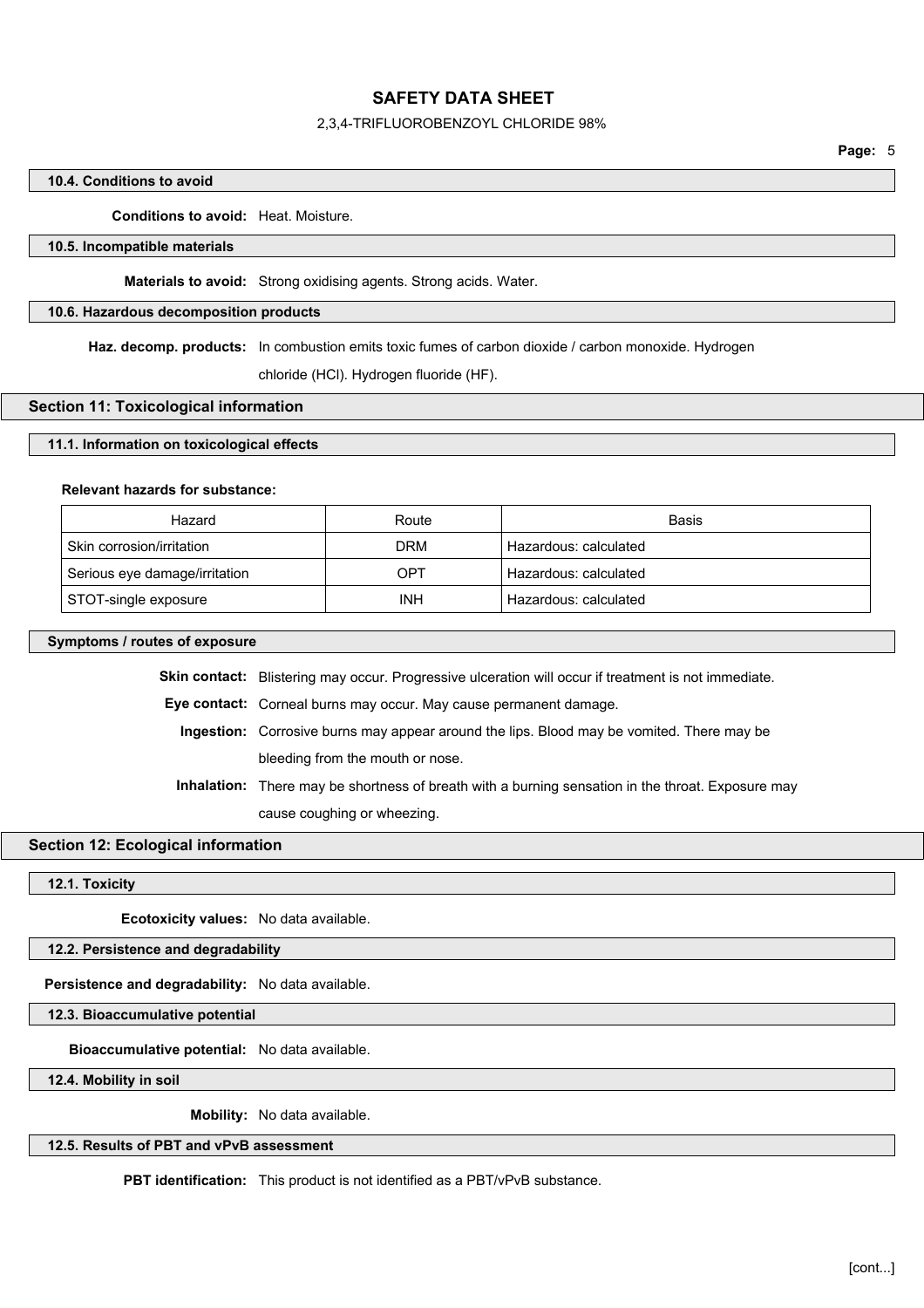### 2,3,4-TRIFLUOROBENZOYL CHLORIDE 98%

### 10.4. Conditions to avoid

Conditions to avoid: Heat. Moisture.

### 10.5. Incompatible materials

Materials to avoid: Strong oxidising agents. Strong acids. Water.

### 10.6. Hazardous decomposition products

Haz. decomp. products: In combustion emits toxic fumes of carbon dioxide / carbon monoxide. Hydrogen

chloride (HCl). Hydrogen fluoride (HF).

#### Section 11: Toxicological information

#### 11.1. Information on toxicological effects

#### Relevant hazards for substance:

| Hazard                        | Route      | Basis                 |
|-------------------------------|------------|-----------------------|
| Skin corrosion/irritation     | <b>DRM</b> | Hazardous: calculated |
| Serious eye damage/irritation | OPT        | Hazardous: calculated |
| STOT-single exposure          | INH        | Hazardous: calculated |

### Symptoms / routes of exposure

Skin contact: Blistering may occur. Progressive ulceration will occur if treatment is not immediate.

Eye contact: Corneal burns may occur. May cause permanent damage.

Ingestion: Corrosive burns may appear around the lips. Blood may be vomited. There may be

bleeding from the mouth or nose.

Inhalation: There may be shortness of breath with a burning sensation in the throat. Exposure may cause coughing or wheezing.

### Section 12: Ecological information

#### 12.1. Toxicity

Ecotoxicity values: No data available.

12.2. Persistence and degradability

Persistence and degradability: No data available.

12.3. Bioaccumulative potential

Bioaccumulative potential: No data available.

12.4. Mobility in soil

Mobility: No data available.

### 12.5. Results of PBT and vPvB assessment

PBT identification: This product is not identified as a PBT/vPvB substance.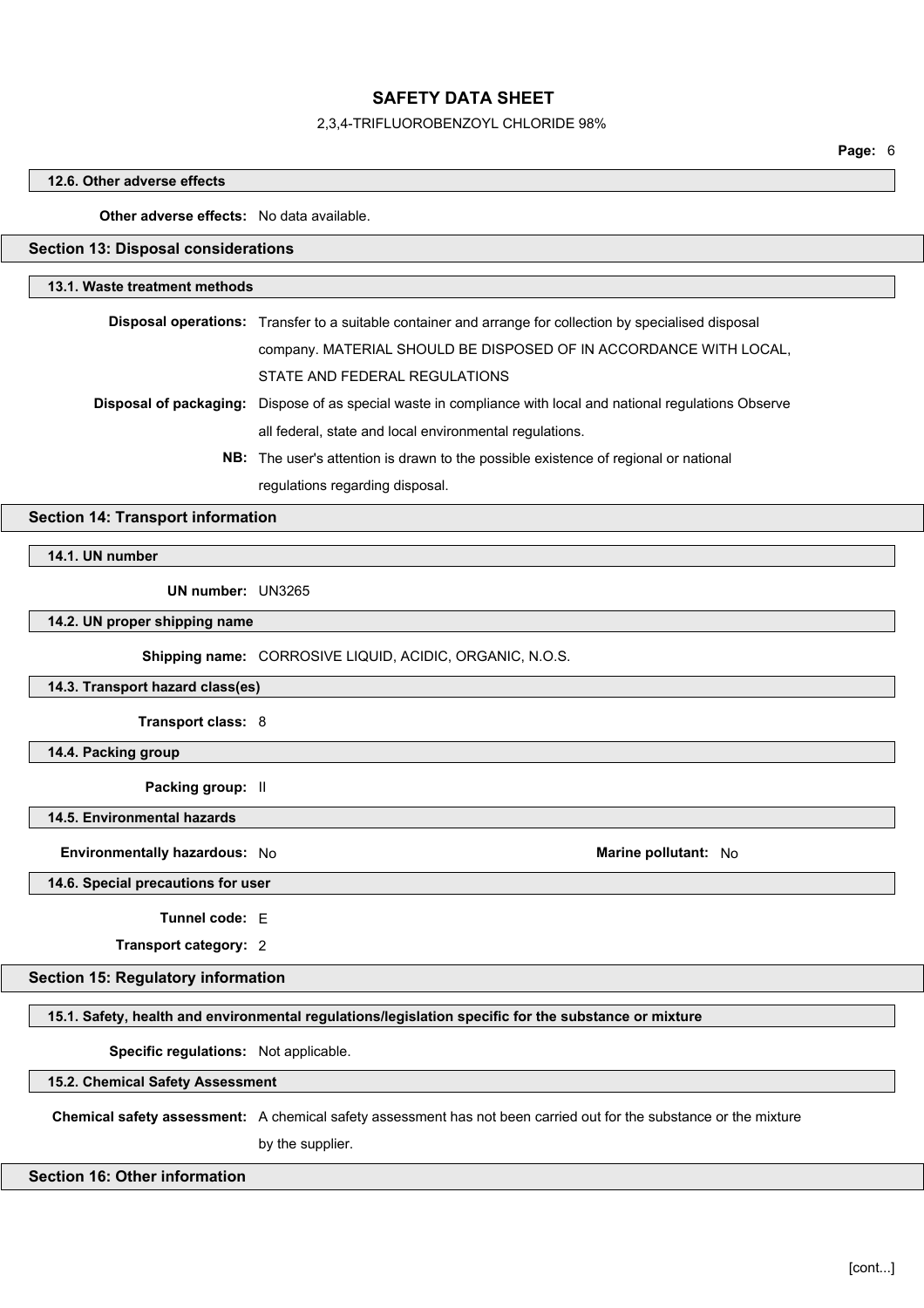### 2,3,4-TRIFLUOROBENZOYL CHLORIDE 98%

Page: 6

#### 12.6. Other adverse effects

### Other adverse effects: No data available.

## Section 13: Disposal considerations

#### 13.1. Waste treatment methods

| <b>Disposal operations:</b> Transfer to a suitable container and arrange for collection by specialised disposal |
|-----------------------------------------------------------------------------------------------------------------|
| company. MATERIAL SHOULD BE DISPOSED OF IN ACCORDANCE WITH LOCAL,                                               |
| STATE AND FEDERAL REGULATIONS                                                                                   |
| Disposal of packaging: Dispose of as special waste in compliance with local and national regulations Observe    |
| all federal, state and local environmental regulations.                                                         |

NB: The user's attention is drawn to the possible existence of regional or national regulations regarding disposal.

Section 14: Transport information

14.1. UN number

UN number: UN3265

14.2. UN proper shipping name

Shipping name: CORROSIVE LIQUID, ACIDIC, ORGANIC, N.O.S.

14.3. Transport hazard class(es)

Transport class: 8

14.4. Packing group

Packing group: II

14.5. Environmental hazards

Environmentally hazardous: No and a series of the Marine pollutant: No Marine pollutant: No

#### 14.6. Special precautions for user

Tunnel code: E

Transport category: 2

## Section 15: Regulatory information

15.1. Safety, health and environmental regulations/legislation specific for the substance or mixture

Specific regulations: Not applicable.

15.2. Chemical Safety Assessment

Chemical safety assessment: A chemical safety assessment has not been carried out for the substance or the mixture

by the supplier.

### Section 16: Other information